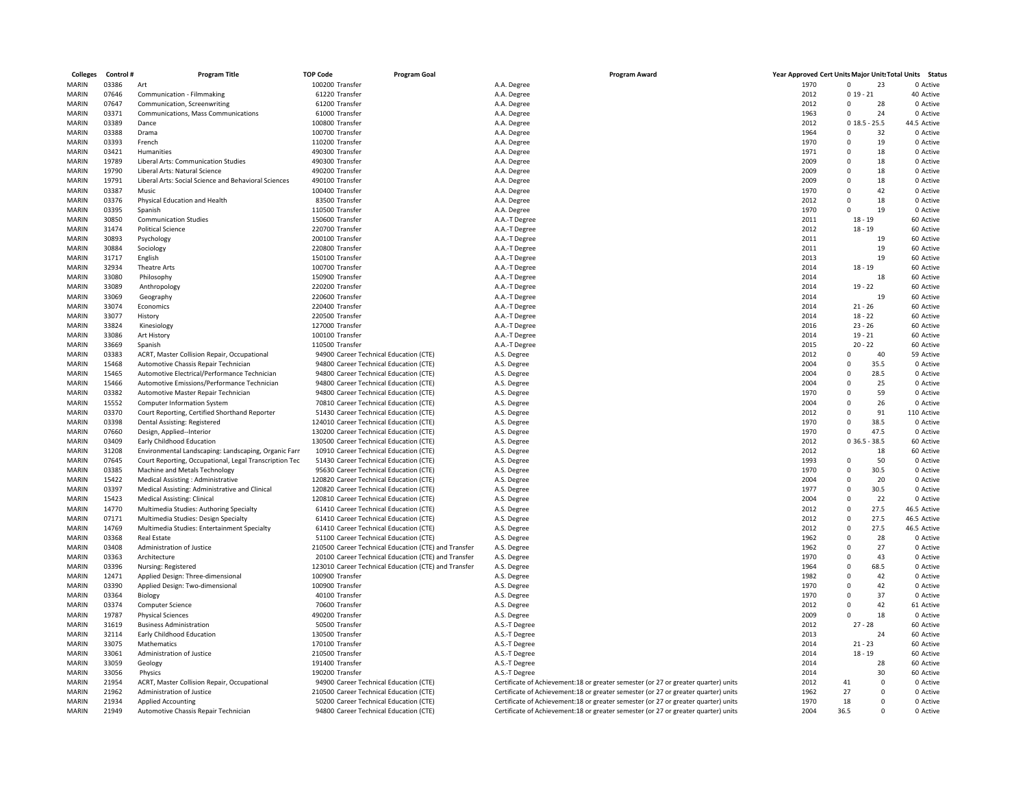| <b>Colleges</b> | Control# | Program Title                                          | <b>TOP Code</b> | <b>Program Goal</b>                                  | <b>Program Award</b>                                                               | Year Approved Cert Units Major Units Total Units Status |             |                |             |
|-----------------|----------|--------------------------------------------------------|-----------------|------------------------------------------------------|------------------------------------------------------------------------------------|---------------------------------------------------------|-------------|----------------|-------------|
| <b>MARIN</b>    | 03386    | Art                                                    | 100200 Transfer |                                                      | A.A. Degree                                                                        | 1970                                                    | $\Omega$    | 23             | 0 Active    |
| <b>MARIN</b>    | 07646    | Communication - Filmmaking                             | 61220 Transfer  |                                                      | A.A. Degree                                                                        | 2012                                                    | $019 - 21$  |                | 40 Active   |
| <b>MARIN</b>    | 07647    | Communication, Screenwriting                           | 61200 Transfer  |                                                      | A.A. Degree                                                                        | 2012                                                    | $\Omega$    | 28             | 0 Active    |
| MARIN           | 03371    | Communications, Mass Communications                    | 61000 Transfer  |                                                      | A.A. Degree                                                                        | 1963                                                    | $\Omega$    | 24             | 0 Active    |
| <b>MARIN</b>    | 03389    | Dance                                                  | 100800 Transfer |                                                      | A.A. Degree                                                                        | 2012                                                    | 0.18.5      | $-25.5$        | 44.5 Active |
| MARIN           | 03388    | Drama                                                  | 100700 Transfer |                                                      | A.A. Degree                                                                        | 1964                                                    | $\Omega$    | 32             | 0 Active    |
| <b>MARIN</b>    | 03393    | French                                                 | 110200 Transfer |                                                      |                                                                                    | 1970                                                    | $\Omega$    | 19             | 0 Active    |
|                 |          |                                                        |                 |                                                      | A.A. Degree                                                                        |                                                         |             |                |             |
| MARIN           | 03421    | Humanities                                             | 490300 Transfer |                                                      | A.A. Degree                                                                        | 1971                                                    | $\mathbf 0$ | 18             | 0 Active    |
| MARIN           | 19789    | Liberal Arts: Communication Studies                    | 490300 Transfer |                                                      | A.A. Degree                                                                        | 2009                                                    | $\Omega$    | 18             | 0 Active    |
| MARIN           | 19790    | Liberal Arts: Natural Science                          | 490200 Transfer |                                                      | A.A. Degree                                                                        | 2009                                                    | $\Omega$    | 18             | 0 Active    |
| <b>MARIN</b>    | 19791    | Liberal Arts: Social Science and Behavioral Sciences   | 490100 Transfer |                                                      | A.A. Degree                                                                        | 2009                                                    | $\mathbf 0$ | 18             | 0 Active    |
| <b>MARIN</b>    | 03387    | Music                                                  | 100400 Transfer |                                                      | A.A. Degree                                                                        | 1970                                                    | $\mathbf 0$ | 42             | 0 Active    |
| MARIN           | 03376    | Physical Education and Health                          | 83500 Transfer  |                                                      | A.A. Degree                                                                        | 2012                                                    | $\Omega$    | 18             | 0 Active    |
| MARIN           | 03395    | Spanish                                                | 110500 Transfer |                                                      | A.A. Degree                                                                        | 1970                                                    | 0           | 19             | 0 Active    |
| MARIN           | 30850    | <b>Communication Studies</b>                           | 150600 Transfer |                                                      | A.A.-T Degree                                                                      | 2011                                                    | $18 - 19$   |                | 60 Active   |
| <b>MARIN</b>    | 31474    | <b>Political Science</b>                               | 220700 Transfer |                                                      | A.A.-T Degree                                                                      | 2012                                                    | $18 - 19$   |                | 60 Active   |
| MARIN           | 30893    | Psychology                                             | 200100 Transfer |                                                      | A.A.-T Degree                                                                      | 2011                                                    |             | 19             | 60 Active   |
|                 |          |                                                        |                 |                                                      |                                                                                    |                                                         |             |                |             |
| MARIN           | 30884    | Sociology                                              | 220800 Transfer |                                                      | A.A.-T Degree                                                                      | 2011                                                    |             | 19             | 60 Active   |
| MARIN           | 31717    | English                                                | 150100 Transfer |                                                      | A.A.-T Degree                                                                      | 2013                                                    |             | 19             | 60 Active   |
| <b>MARIN</b>    | 32934    | Theatre Arts                                           | 100700 Transfer |                                                      | A.A.-T Degree                                                                      | 2014                                                    | $18 - 19$   |                | 60 Active   |
| MARIN           | 33080    | Philosophy                                             | 150900 Transfer |                                                      | A.A.-T Degree                                                                      | 2014                                                    |             | 18             | 60 Active   |
| <b>MARIN</b>    | 33089    | Anthropology                                           | 220200 Transfer |                                                      | A.A.-T Degree                                                                      | 2014                                                    | $19 - 22$   |                | 60 Active   |
| MARIN           | 33069    | Geography                                              | 220600 Transfer |                                                      | A.A.-T Degree                                                                      | 2014                                                    |             | 19             | 60 Active   |
| MARIN           | 33074    | Economics                                              | 220400 Transfer |                                                      | A.A.-T Degree                                                                      | 2014                                                    | $21 - 26$   |                | 60 Active   |
| MARIN           | 33077    | History                                                | 220500 Transfer |                                                      | A.A.-T Degree                                                                      | 2014                                                    | $18 - 22$   |                | 60 Active   |
| MARIN           | 33824    | Kinesiology                                            | 127000 Transfer |                                                      | A.A.-T Degree                                                                      | 2016                                                    | $23 - 26$   |                | 60 Active   |
| MARIN           | 33086    | Art History                                            | 100100 Transfer |                                                      | A.A.-T Degree                                                                      | 2014                                                    | $19 - 21$   |                | 60 Active   |
| MARIN           | 33669    |                                                        | 110500 Transfer |                                                      |                                                                                    | 2015                                                    | $20 - 22$   |                | 60 Active   |
|                 |          | Spanish                                                |                 |                                                      | A.A.-T Degree                                                                      | 2012                                                    | $\Omega$    | 40             |             |
| MARIN           | 03383    | ACRT, Master Collision Repair, Occupational            |                 | 94900 Career Technical Education (CTE)               | A.S. Degree                                                                        |                                                         |             |                | 59 Active   |
| MARIN           | 15468    | Automotive Chassis Repair Technician                   |                 | 94800 Career Technical Education (CTE)               | A.S. Degree                                                                        | 2004                                                    | $\Omega$    | 35.5           | 0 Active    |
| MARIN           | 15465    | Automotive Electrical/Performance Technician           |                 | 94800 Career Technical Education (CTE)               | A.S. Degree                                                                        | 2004                                                    | $\mathbf 0$ | 28.5           | 0 Active    |
| <b>MARIN</b>    | 15466    | Automotive Emissions/Performance Technician            |                 | 94800 Career Technical Education (CTE)               | A.S. Degree                                                                        | 2004                                                    | $\Omega$    | 25             | 0 Active    |
| MARIN           | 03382    | Automotive Master Repair Technician                    |                 | 94800 Career Technical Education (CTE)               | A.S. Degree                                                                        | 1970                                                    | $\mathbf 0$ | 59             | 0 Active    |
| MARIN           | 15552    | Computer Information System                            |                 | 70810 Career Technical Education (CTE)               | A.S. Degree                                                                        | 2004                                                    | $\Omega$    | 26             | 0 Active    |
| MARIN           | 03370    | Court Reporting, Certified Shorthand Reporter          |                 | 51430 Career Technical Education (CTE)               | A.S. Degree                                                                        | 2012                                                    | $\mathbf 0$ | 91             | 110 Active  |
| <b>MARIN</b>    | 03398    | Dental Assisting: Registered                           |                 | 124010 Career Technical Education (CTE)              | A.S. Degree                                                                        | 1970                                                    | $\mathbf 0$ | 38.5           | 0 Active    |
| MARIN           | 07660    | Design, Applied--Interior                              |                 | 130200 Career Technical Education (CTE)              | A.S. Degree                                                                        | 1970                                                    | 0           | 47.5           | 0 Active    |
| MARIN           | 03409    | Early Childhood Education                              |                 | 130500 Career Technical Education (CTE)              | A.S. Degree                                                                        | 2012                                                    | 036.5       | $-38.5$        | 60 Active   |
| MARIN           | 31208    | Environmental Landscaping: Landscaping, Organic Farr   |                 | 10910 Career Technical Education (CTE)               | A.S. Degree                                                                        | 2012                                                    |             | 18             | 60 Active   |
| <b>MARIN</b>    |          |                                                        |                 |                                                      |                                                                                    | 1993                                                    | $\Omega$    | 50             | 0 Active    |
|                 | 07645    | Court Reporting, Occupational, Legal Transcription Tec |                 | 51430 Career Technical Education (CTE)               | A.S. Degree                                                                        |                                                         |             |                |             |
| <b>MARIN</b>    | 03385    | Machine and Metals Technology                          |                 | 95630 Career Technical Education (CTE)               | A.S. Degree                                                                        | 1970                                                    | $\mathbf 0$ | 30.5           | 0 Active    |
| MARIN           | 15422    | Medical Assisting : Administrative                     |                 | 120820 Career Technical Education (CTE)              | A.S. Degree                                                                        | 2004                                                    | $\mathbf 0$ | 20             | 0 Active    |
| MARIN           | 03397    | Medical Assisting: Administrative and Clinical         |                 | 120820 Career Technical Education (CTE)              | A.S. Degree                                                                        | 1977                                                    | $\mathbf 0$ | 30.5           | 0 Active    |
| MARIN           | 15423    | <b>Medical Assisting: Clinical</b>                     |                 | 120810 Career Technical Education (CTE)              | A.S. Degree                                                                        | 2004                                                    | $\mathbf 0$ | 22             | 0 Active    |
| <b>MARIN</b>    | 14770    | Multimedia Studies: Authoring Specialty                |                 | 61410 Career Technical Education (CTE)               | A.S. Degree                                                                        | 2012                                                    | 0           | 27.5           | 46.5 Active |
| MARIN           | 07171    | Multimedia Studies: Design Specialty                   |                 | 61410 Career Technical Education (CTE)               | A.S. Degree                                                                        | 2012                                                    | $\mathbf 0$ | 27.5           | 46.5 Active |
| <b>MARIN</b>    | 14769    | Multimedia Studies: Entertainment Specialty            |                 | 61410 Career Technical Education (CTE)               | A.S. Degree                                                                        | 2012                                                    | $\mathbf 0$ | 27.5           | 46.5 Active |
| <b>MARIN</b>    | 03368    | Real Estate                                            |                 | 51100 Career Technical Education (CTE)               | A.S. Degree                                                                        | 1962                                                    | $\mathbf 0$ | 28             | 0 Active    |
| <b>MARIN</b>    | 03408    | Administration of Justice                              |                 | 210500 Career Technical Education (CTE) and Transfer | A.S. Degree                                                                        | 1962                                                    | $\Omega$    | 27             | 0 Active    |
| MARIN           | 03363    | Architecture                                           |                 | 20100 Career Technical Education (CTE) and Transfer  | A.S. Degree                                                                        | 1970                                                    | $\Omega$    | 43             | 0 Active    |
| MARIN           | 03396    |                                                        |                 | 123010 Career Technical Education (CTE) and Transfer |                                                                                    | 1964                                                    | $\Omega$    | 68.5           | 0 Active    |
|                 |          | Nursing: Registered                                    |                 |                                                      | A.S. Degree                                                                        |                                                         |             |                |             |
| MARIN           | 12471    | Applied Design: Three-dimensional                      | 100900 Transfer |                                                      | A.S. Degree                                                                        | 1982                                                    | $\Omega$    | 42             | 0 Active    |
| MARIN           | 03390    | Applied Design: Two-dimensional                        | 100900 Transfer |                                                      | A.S. Degree                                                                        | 1970                                                    | $\Omega$    | 42             | 0 Active    |
| MARIN           | 03364    | Biology                                                | 40100 Transfer  |                                                      | A.S. Degree                                                                        | 1970                                                    | $\mathbf 0$ | 37             | 0 Active    |
| MARIN           | 03374    | Computer Science                                       | 70600 Transfer  |                                                      | A.S. Degree                                                                        | 2012                                                    | $\Omega$    | 42             | 61 Active   |
| MARIN           | 19787    | <b>Physical Sciences</b>                               | 490200 Transfer |                                                      | A.S. Degree                                                                        | 2009                                                    | $\Omega$    | 18             | 0 Active    |
| <b>MARIN</b>    | 31619    | <b>Business Administration</b>                         | 50500 Transfer  |                                                      | A.S.-T Degree                                                                      | 2012                                                    | $27 - 28$   |                | 60 Active   |
| <b>MARIN</b>    | 32114    | Early Childhood Education                              | 130500 Transfer |                                                      | A.S.-T Degree                                                                      | 2013                                                    |             | 24             | 60 Active   |
| <b>MARIN</b>    | 33075    | Mathematics                                            | 170100 Transfer |                                                      | A.S.-T Degree                                                                      | 2014                                                    | $21 - 23$   |                | 60 Active   |
| MARIN           | 33061    | Administration of Justice                              | 210500 Transfer |                                                      | A.S.-T Degree                                                                      | 2014                                                    | $18 - 19$   |                | 60 Active   |
| <b>MARIN</b>    | 33059    | Geology                                                | 191400 Transfer |                                                      | A.S.-T Degree                                                                      | 2014                                                    |             | 28             | 60 Active   |
|                 |          |                                                        |                 |                                                      |                                                                                    |                                                         |             |                |             |
| MARIN           | 33056    | Physics                                                | 190200 Transfer |                                                      | A.S.-T Degree                                                                      | 2014                                                    |             | 30             | 60 Active   |
| MARIN           | 21954    | ACRT, Master Collision Repair, Occupational            |                 | 94900 Career Technical Education (CTE)               | Certificate of Achievement:18 or greater semester (or 27 or greater quarter) units | 2012                                                    | 41          | $\overline{0}$ | 0 Active    |
| MARIN           | 21962    | Administration of Justice                              |                 | 210500 Career Technical Education (CTE)              | Certificate of Achievement:18 or greater semester (or 27 or greater quarter) units | 1962                                                    | 27          | $\Omega$       | 0 Active    |
| <b>MARIN</b>    | 21934    | Applied Accounting                                     |                 | 50200 Career Technical Education (CTE)               | Certificate of Achievement:18 or greater semester (or 27 or greater quarter) units | 1970                                                    | 18          | $\Omega$       | 0 Active    |
| MARIN           | 21949    | Automotive Chassis Repair Technician                   |                 | 94800 Career Technical Education (CTE)               | Certificate of Achievement:18 or greater semester (or 27 or greater quarter) units | 2004                                                    | 36.5        | $\Omega$       | 0 Active    |